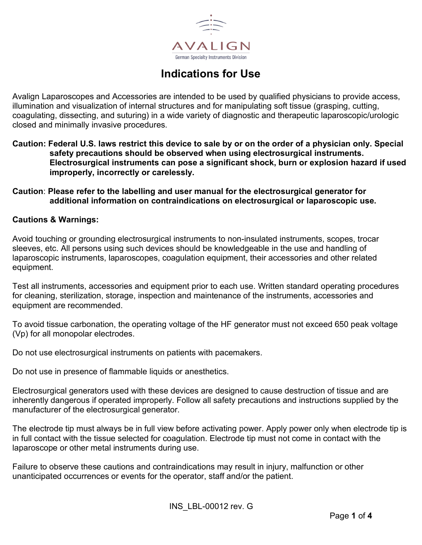

# **Indications for Use**

Avalign Laparoscopes and Accessories are intended to be used by qualified physicians to provide access, illumination and visualization of internal structures and for manipulating soft tissue (grasping, cutting, coagulating, dissecting, and suturing) in a wide variety of diagnostic and therapeutic laparoscopic/urologic closed and minimally invasive procedures.

**Caution: Federal U.S. laws restrict this device to sale by or on the order of a physician only. Special safety precautions should be observed when using electrosurgical instruments. Electrosurgical instruments can pose a significant shock, burn or explosion hazard if used improperly, incorrectly or carelessly.**

### **Caution**: **Please refer to the labelling and user manual for the electrosurgical generator for additional information on contraindications on electrosurgical or laparoscopic use.**

### **Cautions & Warnings:**

Avoid touching or grounding electrosurgical instruments to non-insulated instruments, scopes, trocar sleeves, etc. All persons using such devices should be knowledgeable in the use and handling of laparoscopic instruments, laparoscopes, coagulation equipment, their accessories and other related equipment.

Test all instruments, accessories and equipment prior to each use. Written standard operating procedures for cleaning, sterilization, storage, inspection and maintenance of the instruments, accessories and equipment are recommended.

To avoid tissue carbonation, the operating voltage of the HF generator must not exceed 650 peak voltage (Vp) for all monopolar electrodes.

Do not use electrosurgical instruments on patients with pacemakers.

Do not use in presence of flammable liquids or anesthetics.

Electrosurgical generators used with these devices are designed to cause destruction of tissue and are inherently dangerous if operated improperly. Follow all safety precautions and instructions supplied by the manufacturer of the electrosurgical generator.

The electrode tip must always be in full view before activating power. Apply power only when electrode tip is in full contact with the tissue selected for coagulation. Electrode tip must not come in contact with the laparoscope or other metal instruments during use.

Failure to observe these cautions and contraindications may result in injury, malfunction or other unanticipated occurrences or events for the operator, staff and/or the patient.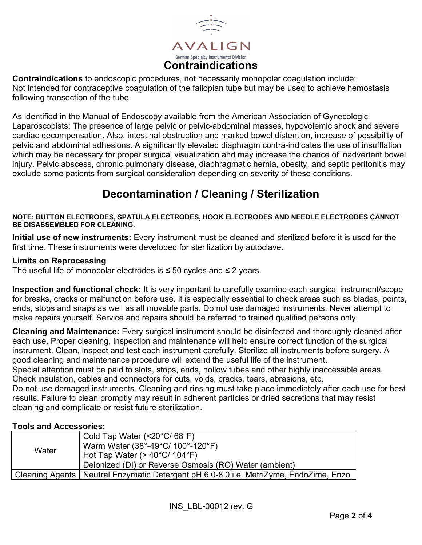

**Contraindications** to endoscopic procedures, not necessarily monopolar coagulation include; Not intended for contraceptive coagulation of the fallopian tube but may be used to achieve hemostasis following transection of the tube.

As identified in the Manual of Endoscopy available from the American Association of Gynecologic Laparoscopists: The presence of large pelvic or pelvic-abdominal masses, hypovolemic shock and severe cardiac decompensation. Also, intestinal obstruction and marked bowel distention, increase of possibility of pelvic and abdominal adhesions. A significantly elevated diaphragm contra-indicates the use of insufflation which may be necessary for proper surgical visualization and may increase the chance of inadvertent bowel injury. Pelvic abscess, chronic pulmonary disease, diaphragmatic hernia, obesity, and septic peritonitis may exclude some patients from surgical consideration depending on severity of these conditions.

# **Decontamination / Cleaning / Sterilization**

#### **NOTE: BUTTON ELECTRODES, SPATULA ELECTRODES, HOOK ELECTRODES AND NEEDLE ELECTRODES CANNOT BE DISASSEMBLED FOR CLEANING.**

**Initial use of new instruments:** Every instrument must be cleaned and sterilized before it is used for the first time. These instruments were developed for sterilization by autoclave.

### **Limits on Reprocessing**

The useful life of monopolar electrodes is  $\leq$  50 cycles and  $\leq$  2 years.

**Inspection and functional check:** It is very important to carefully examine each surgical instrument/scope for breaks, cracks or malfunction before use. It is especially essential to check areas such as blades, points, ends, stops and snaps as well as all movable parts. Do not use damaged instruments. Never attempt to make repairs yourself. Service and repairs should be referred to trained qualified persons only.

**Cleaning and Maintenance:** Every surgical instrument should be disinfected and thoroughly cleaned after each use. Proper cleaning, inspection and maintenance will help ensure correct function of the surgical instrument. Clean, inspect and test each instrument carefully. Sterilize all instruments before surgery. A good cleaning and maintenance procedure will extend the useful life of the instrument.

Special attention must be paid to slots, stops, ends, hollow tubes and other highly inaccessible areas. Check insulation, cables and connectors for cuts, voids, cracks, tears, abrasions, etc.

Do not use damaged instruments. Cleaning and rinsing must take place immediately after each use for best results. Failure to clean promptly may result in adherent particles or dried secretions that may resist cleaning and complicate or resist future sterilization.

### **Tools and Accessories:**

| Water | Cold Tap Water $(<20^{\circ}C/68^{\circ}F)$<br>Warm Water (38°-49°C/ 100°-120°F)<br>Hot Tap Water ( $>$ 40°C/ 104°F)<br>Deionized (DI) or Reverse Osmosis (RO) Water (ambient) |
|-------|--------------------------------------------------------------------------------------------------------------------------------------------------------------------------------|
|       | Cleaning Agents   Neutral Enzymatic Detergent pH 6.0-8.0 i.e. MetriZyme, EndoZime, Enzol                                                                                       |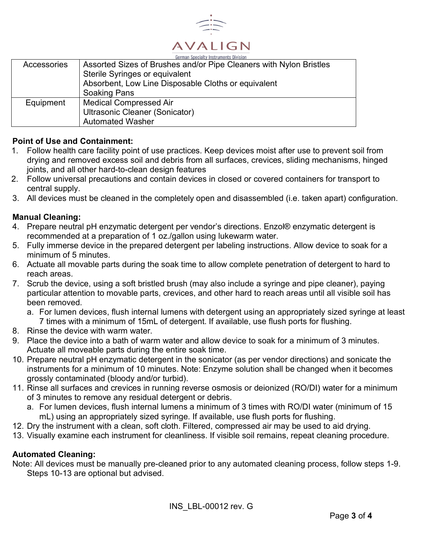

|             | German Specialty Instruments Division                              |  |  |  |  |
|-------------|--------------------------------------------------------------------|--|--|--|--|
| Accessories | Assorted Sizes of Brushes and/or Pipe Cleaners with Nylon Bristles |  |  |  |  |
|             | Sterile Syringes or equivalent                                     |  |  |  |  |
|             | Absorbent, Low Line Disposable Cloths or equivalent                |  |  |  |  |
|             | <b>Soaking Pans</b>                                                |  |  |  |  |
| Equipment   | <b>Medical Compressed Air</b>                                      |  |  |  |  |
|             | Ultrasonic Cleaner (Sonicator)                                     |  |  |  |  |
|             | <b>Automated Washer</b>                                            |  |  |  |  |

### **Point of Use and Containment:**

- 1. Follow health care facility point of use practices. Keep devices moist after use to prevent soil from drying and removed excess soil and debris from all surfaces, crevices, sliding mechanisms, hinged joints, and all other hard-to-clean design features
- 2. Follow universal precautions and contain devices in closed or covered containers for transport to central supply.
- 3. All devices must be cleaned in the completely open and disassembled (i.e. taken apart) configuration.

#### **Manual Cleaning:**

- 4. Prepare neutral pH enzymatic detergent per vendor's directions. Enzol® enzymatic detergent is recommended at a preparation of 1 oz./gallon using lukewarm water.
- 5. Fully immerse device in the prepared detergent per labeling instructions. Allow device to soak for a minimum of 5 minutes.
- 6. Actuate all movable parts during the soak time to allow complete penetration of detergent to hard to reach areas.
- 7. Scrub the device, using a soft bristled brush (may also include a syringe and pipe cleaner), paying particular attention to movable parts, crevices, and other hard to reach areas until all visible soil has been removed.
	- a. For lumen devices, flush internal lumens with detergent using an appropriately sized syringe at least 7 times with a minimum of 15mL of detergent. If available, use flush ports for flushing.
- 8. Rinse the device with warm water.
- 9. Place the device into a bath of warm water and allow device to soak for a minimum of 3 minutes. Actuate all moveable parts during the entire soak time.
- 10. Prepare neutral pH enzymatic detergent in the sonicator (as per vendor directions) and sonicate the instruments for a minimum of 10 minutes. Note: Enzyme solution shall be changed when it becomes grossly contaminated (bloody and/or turbid).
- 11. Rinse all surfaces and crevices in running reverse osmosis or deionized (RO/DI) water for a minimum of 3 minutes to remove any residual detergent or debris.
	- a. For lumen devices, flush internal lumens a minimum of 3 times with RO/DI water (minimum of 15 mL) using an appropriately sized syringe. If available, use flush ports for flushing.
- 12. Dry the instrument with a clean, soft cloth. Filtered, compressed air may be used to aid drying.
- 13. Visually examine each instrument for cleanliness. If visible soil remains, repeat cleaning procedure.

#### **Automated Cleaning:**

Note: All devices must be manually pre-cleaned prior to any automated cleaning process, follow steps 1-9. Steps 10-13 are optional but advised.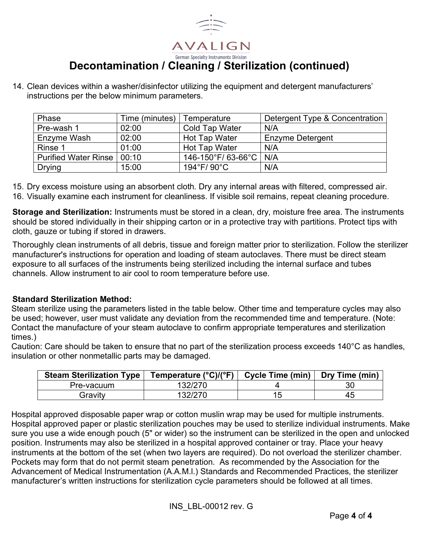

## **Decontamination / Cleaning / Sterilization (continued)**

14. Clean devices within a washer/disinfector utilizing the equipment and detergent manufacturers' instructions per the below minimum parameters.

| Phase                        | Time (minutes) | Temperature           | Detergent Type & Concentration |
|------------------------------|----------------|-----------------------|--------------------------------|
| Pre-wash 1                   | 02:00          | <b>Cold Tap Water</b> | N/A                            |
| Enzyme Wash                  | 02:00          | Hot Tap Water         | <b>Enzyme Detergent</b>        |
| Rinse 1                      | 01:00          | Hot Tap Water         | N/A                            |
| Purified Water Rinse   00:10 |                | 146-150°F/ 63-66°C    | N/A                            |
| <b>Drying</b>                | 15:00          | 194°F/90°C            | N/A                            |

15. Dry excess moisture using an absorbent cloth. Dry any internal areas with filtered, compressed air.

16. Visually examine each instrument for cleanliness. If visible soil remains, repeat cleaning procedure.

**Storage and Sterilization:** Instruments must be stored in a clean, dry, moisture free area. The instruments should be stored individually in their shipping carton or in a protective tray with partitions. Protect tips with cloth, gauze or tubing if stored in drawers.

Thoroughly clean instruments of all debris, tissue and foreign matter prior to sterilization. Follow the sterilizer manufacturer's instructions for operation and loading of steam autoclaves. There must be direct steam exposure to all surfaces of the instruments being sterilized including the internal surface and tubes channels. Allow instrument to air cool to room temperature before use.

### **Standard Sterilization Method:**

Steam sterilize using the parameters listed in the table below. Other time and temperature cycles may also be used; however, user must validate any deviation from the recommended time and temperature. (Note: Contact the manufacture of your steam autoclave to confirm appropriate temperatures and sterilization times.)

Caution: Care should be taken to ensure that no part of the sterilization process exceeds 140°C as handles, insulation or other nonmetallic parts may be damaged.

| <b>Steam Sterilization Type</b> | Temperature $(^{\circ}C)/(^{\circ}F)$ | Cycle Time (min) | Dry Time (min) |
|---------------------------------|---------------------------------------|------------------|----------------|
| Pre-vacuum                      | 32/270                                |                  | 30             |
| Gravitv                         | 32/270                                | ں ا              | 45             |

Hospital approved disposable paper wrap or cotton muslin wrap may be used for multiple instruments. Hospital approved paper or plastic sterilization pouches may be used to sterilize individual instruments. Make sure you use a wide enough pouch (5" or wider) so the instrument can be sterilized in the open and unlocked position. Instruments may also be sterilized in a hospital approved container or tray. Place your heavy instruments at the bottom of the set (when two layers are required). Do not overload the sterilizer chamber. Pockets may form that do not permit steam penetration. As recommended by the Association for the Advancement of Medical Instrumentation (A.A.M.l.) Standards and Recommended Practices, the sterilizer manufacturer's written instructions for sterilization cycle parameters should be followed at all times.